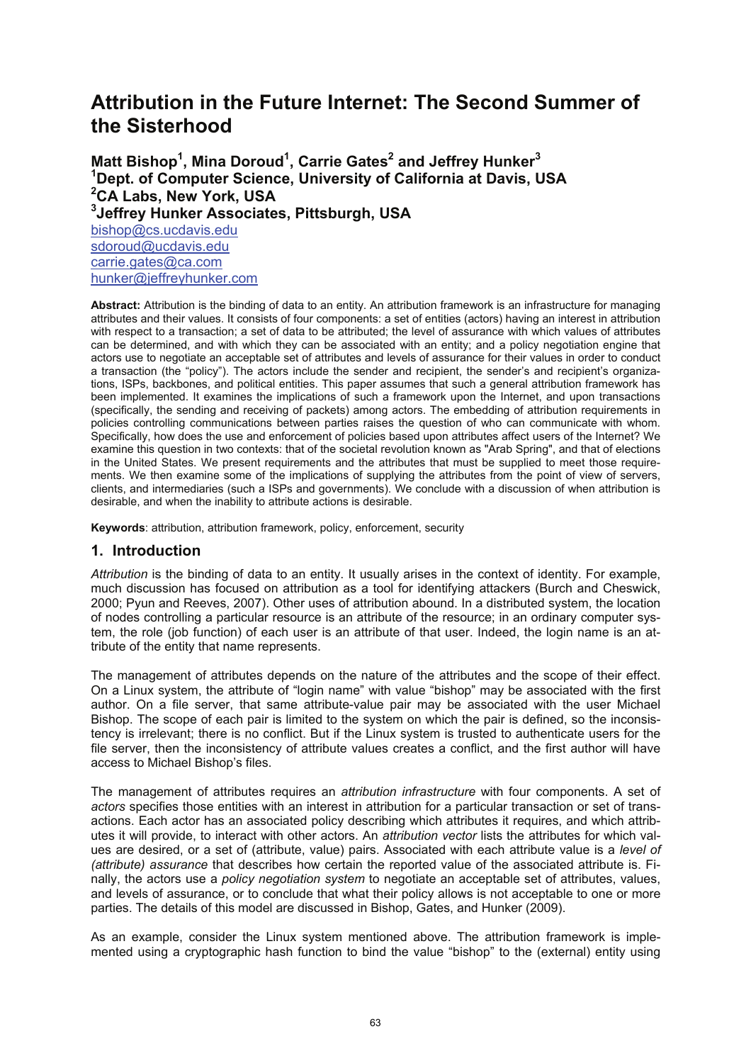# **Attribution in the Future Internet: The Second Summer of the Sisterhood**

**Matt Bishop1 , Mina Doroud1 , Carrie Gates2 and Jeffrey Hunker<sup>3</sup> 1 Dept. of Computer Science, University of California at Davis, USA 2 CA Labs, New York, USA 3 Jeffrey Hunker Associates, Pittsburgh, USA**  bishop@cs.ucdavis.edu sdoroud@ucdavis.edu carrie.gates@ca.com hunker@jeffreyhunker.com

**Abstract:** Attribution is the binding of data to an entity. An attribution framework is an infrastructure for managing attributes and their values. It consists of four components: a set of entities (actors) having an interest in attribution with respect to a transaction; a set of data to be attributed; the level of assurance with which values of attributes can be determined, and with which they can be associated with an entity; and a policy negotiation engine that actors use to negotiate an acceptable set of attributes and levels of assurance for their values in order to conduct a transaction (the "policy"). The actors include the sender and recipient, the sender's and recipient's organizations, ISPs, backbones, and political entities. This paper assumes that such a general attribution framework has been implemented. It examines the implications of such a framework upon the Internet, and upon transactions (specifically, the sending and receiving of packets) among actors. The embedding of attribution requirements in policies controlling communications between parties raises the question of who can communicate with whom. Specifically, how does the use and enforcement of policies based upon attributes affect users of the Internet? We examine this question in two contexts: that of the societal revolution known as "Arab Spring", and that of elections in the United States. We present requirements and the attributes that must be supplied to meet those requirements. We then examine some of the implications of supplying the attributes from the point of view of servers, clients, and intermediaries (such a ISPs and governments). We conclude with a discussion of when attribution is desirable, and when the inability to attribute actions is desirable.

**Keywords**: attribution, attribution framework, policy, enforcement, security

## **1. Introduction**

*Attribution* is the binding of data to an entity. It usually arises in the context of identity. For example, much discussion has focused on attribution as a tool for identifying attackers (Burch and Cheswick, 2000; Pyun and Reeves, 2007). Other uses of attribution abound. In a distributed system, the location of nodes controlling a particular resource is an attribute of the resource; in an ordinary computer system, the role (job function) of each user is an attribute of that user. Indeed, the login name is an attribute of the entity that name represents.

The management of attributes depends on the nature of the attributes and the scope of their effect. On a Linux system, the attribute of "login name" with value "bishop" may be associated with the first author. On a file server, that same attribute-value pair may be associated with the user Michael Bishop. The scope of each pair is limited to the system on which the pair is defined, so the inconsistency is irrelevant; there is no conflict. But if the Linux system is trusted to authenticate users for the file server, then the inconsistency of attribute values creates a conflict, and the first author will have access to Michael Bishop's files.

The management of attributes requires an *attribution infrastructure* with four components. A set of *actors* specifies those entities with an interest in attribution for a particular transaction or set of transactions. Each actor has an associated policy describing which attributes it requires, and which attributes it will provide, to interact with other actors. An *attribution vector* lists the attributes for which values are desired, or a set of (attribute, value) pairs. Associated with each attribute value is a *level of (attribute) assurance* that describes how certain the reported value of the associated attribute is. Finally, the actors use a *policy negotiation system* to negotiate an acceptable set of attributes, values, and levels of assurance, or to conclude that what their policy allows is not acceptable to one or more parties. The details of this model are discussed in Bishop, Gates, and Hunker (2009).

As an example, consider the Linux system mentioned above. The attribution framework is implemented using a cryptographic hash function to bind the value "bishop" to the (external) entity using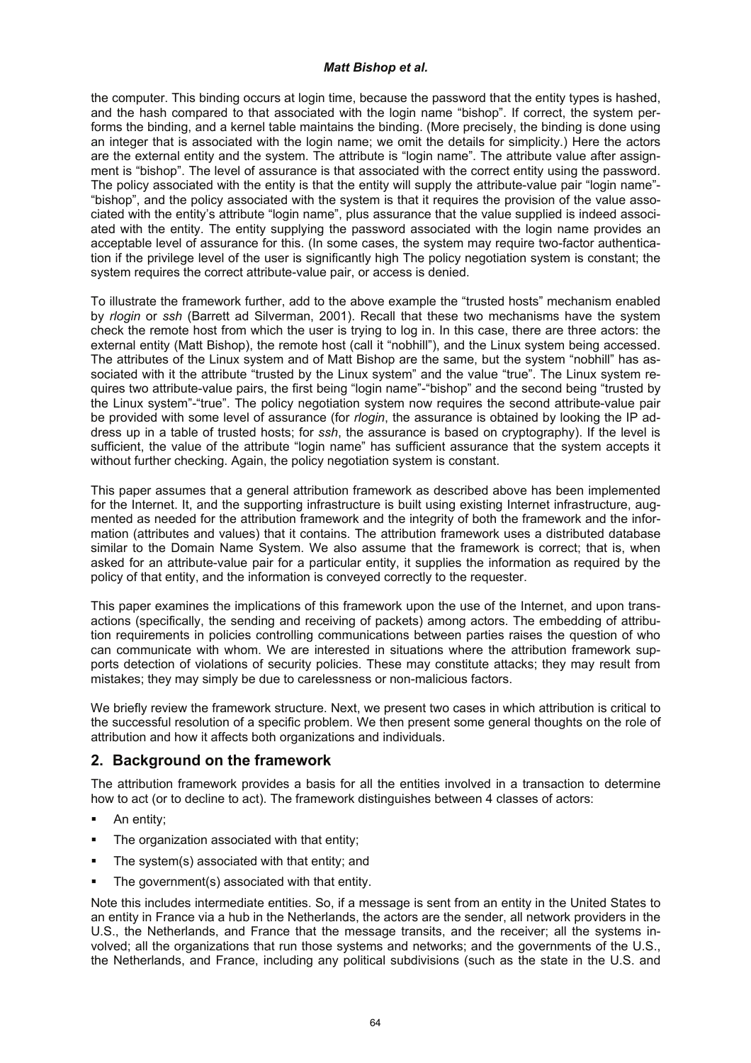the computer. This binding occurs at login time, because the password that the entity types is hashed, and the hash compared to that associated with the login name "bishop". If correct, the system performs the binding, and a kernel table maintains the binding. (More precisely, the binding is done using an integer that is associated with the login name; we omit the details for simplicity.) Here the actors are the external entity and the system. The attribute is "login name". The attribute value after assignment is "bishop". The level of assurance is that associated with the correct entity using the password. The policy associated with the entity is that the entity will supply the attribute-value pair "login name"- "bishop", and the policy associated with the system is that it requires the provision of the value associated with the entity's attribute "login name", plus assurance that the value supplied is indeed associated with the entity. The entity supplying the password associated with the login name provides an acceptable level of assurance for this. (In some cases, the system may require two-factor authentication if the privilege level of the user is significantly high The policy negotiation system is constant; the system requires the correct attribute-value pair, or access is denied.

To illustrate the framework further, add to the above example the "trusted hosts" mechanism enabled by *rlogin* or *ssh* (Barrett ad Silverman, 2001). Recall that these two mechanisms have the system check the remote host from which the user is trying to log in. In this case, there are three actors: the external entity (Matt Bishop), the remote host (call it "nobhill"), and the Linux system being accessed. The attributes of the Linux system and of Matt Bishop are the same, but the system "nobhill" has associated with it the attribute "trusted by the Linux system" and the value "true". The Linux system requires two attribute-value pairs, the first being "login name"-"bishop" and the second being "trusted by the Linux system"-"true". The policy negotiation system now requires the second attribute-value pair be provided with some level of assurance (for *rlogin*, the assurance is obtained by looking the IP address up in a table of trusted hosts; for *ssh*, the assurance is based on cryptography). If the level is sufficient, the value of the attribute "login name" has sufficient assurance that the system accepts it without further checking. Again, the policy negotiation system is constant.

This paper assumes that a general attribution framework as described above has been implemented for the Internet. It, and the supporting infrastructure is built using existing Internet infrastructure, augmented as needed for the attribution framework and the integrity of both the framework and the information (attributes and values) that it contains. The attribution framework uses a distributed database similar to the Domain Name System. We also assume that the framework is correct; that is, when asked for an attribute-value pair for a particular entity, it supplies the information as required by the policy of that entity, and the information is conveyed correctly to the requester.

This paper examines the implications of this framework upon the use of the Internet, and upon transactions (specifically, the sending and receiving of packets) among actors. The embedding of attribution requirements in policies controlling communications between parties raises the question of who can communicate with whom. We are interested in situations where the attribution framework supports detection of violations of security policies. These may constitute attacks; they may result from mistakes; they may simply be due to carelessness or non-malicious factors.

We briefly review the framework structure. Next, we present two cases in which attribution is critical to the successful resolution of a specific problem. We then present some general thoughts on the role of attribution and how it affects both organizations and individuals.

# **2. Background on the framework**

The attribution framework provides a basis for all the entities involved in a transaction to determine how to act (or to decline to act). The framework distinguishes between 4 classes of actors:

- An entity;
- The organization associated with that entity;
- The system(s) associated with that entity; and
- The government(s) associated with that entity.

Note this includes intermediate entities. So, if a message is sent from an entity in the United States to an entity in France via a hub in the Netherlands, the actors are the sender, all network providers in the U.S., the Netherlands, and France that the message transits, and the receiver; all the systems involved; all the organizations that run those systems and networks; and the governments of the U.S., the Netherlands, and France, including any political subdivisions (such as the state in the U.S. and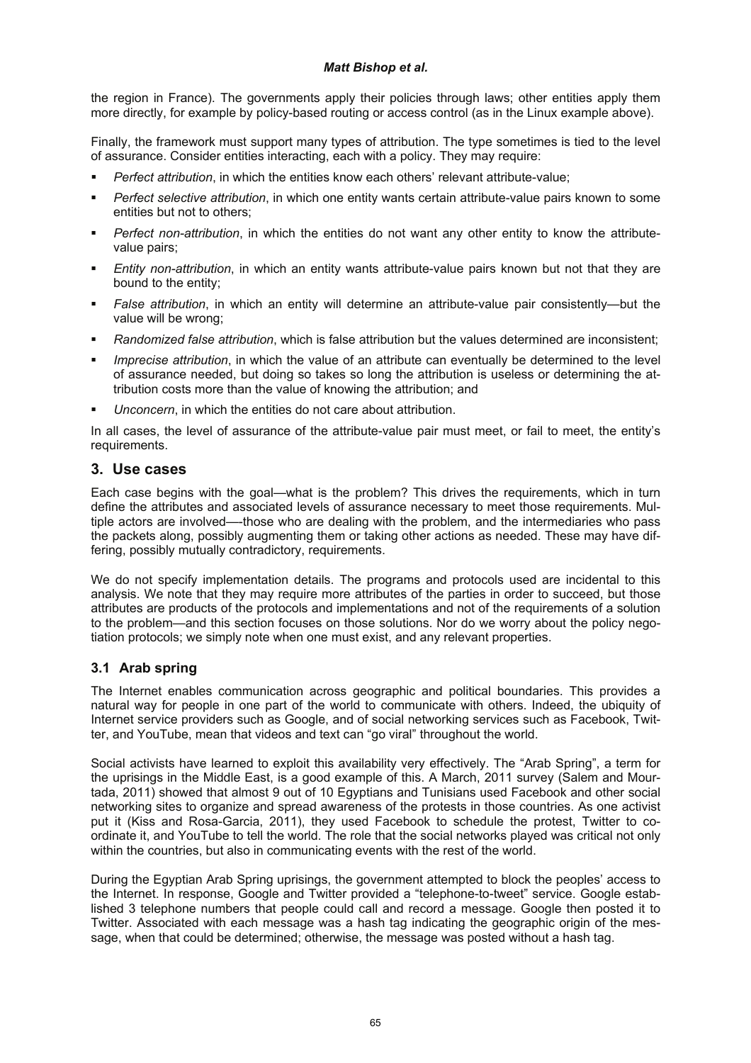the region in France). The governments apply their policies through laws; other entities apply them more directly, for example by policy-based routing or access control (as in the Linux example above).

Finally, the framework must support many types of attribution. The type sometimes is tied to the level of assurance. Consider entities interacting, each with a policy. They may require:

- *Perfect attribution*, in which the entities know each others' relevant attribute-value;
- *Perfect selective attribution*, in which one entity wants certain attribute-value pairs known to some entities but not to others;
- *Perfect non-attribution*, in which the entities do not want any other entity to know the attributevalue pairs;
- *Entity non-attribution*, in which an entity wants attribute-value pairs known but not that they are bound to the entity;
- *False attribution*, in which an entity will determine an attribute-value pair consistently—but the value will be wrong;
- *Randomized false attribution*, which is false attribution but the values determined are inconsistent;
- *Imprecise attribution*, in which the value of an attribute can eventually be determined to the level of assurance needed, but doing so takes so long the attribution is useless or determining the attribution costs more than the value of knowing the attribution; and
- *Unconcern*, in which the entities do not care about attribution.

In all cases, the level of assurance of the attribute-value pair must meet, or fail to meet, the entity's requirements.

## **3. Use cases**

Each case begins with the goal—what is the problem? This drives the requirements, which in turn define the attributes and associated levels of assurance necessary to meet those requirements. Multiple actors are involved—-those who are dealing with the problem, and the intermediaries who pass the packets along, possibly augmenting them or taking other actions as needed. These may have differing, possibly mutually contradictory, requirements.

We do not specify implementation details. The programs and protocols used are incidental to this analysis. We note that they may require more attributes of the parties in order to succeed, but those attributes are products of the protocols and implementations and not of the requirements of a solution to the problem—and this section focuses on those solutions. Nor do we worry about the policy negotiation protocols; we simply note when one must exist, and any relevant properties.

# **3.1 Arab spring**

The Internet enables communication across geographic and political boundaries. This provides a natural way for people in one part of the world to communicate with others. Indeed, the ubiquity of Internet service providers such as Google, and of social networking services such as Facebook, Twitter, and YouTube, mean that videos and text can "go viral" throughout the world.

Social activists have learned to exploit this availability very effectively. The "Arab Spring", a term for the uprisings in the Middle East, is a good example of this. A March, 2011 survey (Salem and Mourtada, 2011) showed that almost 9 out of 10 Egyptians and Tunisians used Facebook and other social networking sites to organize and spread awareness of the protests in those countries. As one activist put it (Kiss and Rosa-Garcia, 2011), they used Facebook to schedule the protest, Twitter to coordinate it, and YouTube to tell the world. The role that the social networks played was critical not only within the countries, but also in communicating events with the rest of the world.

During the Egyptian Arab Spring uprisings, the government attempted to block the peoples' access to the Internet. In response, Google and Twitter provided a "telephone-to-tweet" service. Google established 3 telephone numbers that people could call and record a message. Google then posted it to Twitter. Associated with each message was a hash tag indicating the geographic origin of the message, when that could be determined; otherwise, the message was posted without a hash tag.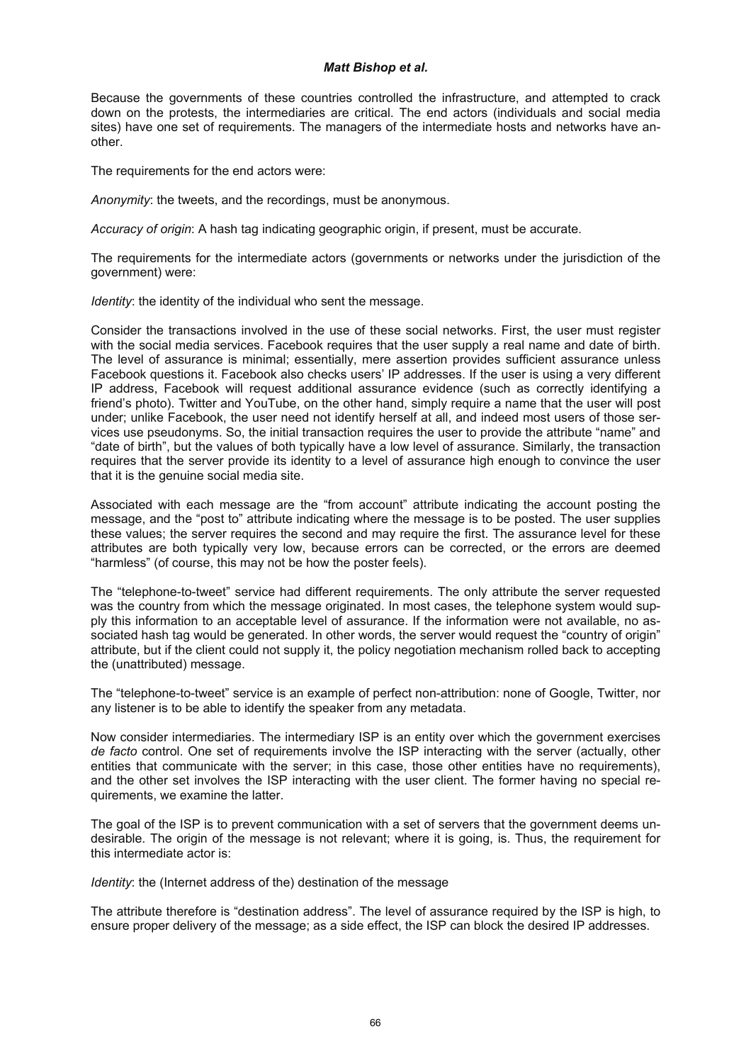Because the governments of these countries controlled the infrastructure, and attempted to crack down on the protests, the intermediaries are critical. The end actors (individuals and social media sites) have one set of requirements. The managers of the intermediate hosts and networks have another.

The requirements for the end actors were:

*Anonymity*: the tweets, and the recordings, must be anonymous.

*Accuracy of origin*: A hash tag indicating geographic origin, if present, must be accurate.

The requirements for the intermediate actors (governments or networks under the jurisdiction of the government) were:

*Identity*: the identity of the individual who sent the message.

Consider the transactions involved in the use of these social networks. First, the user must register with the social media services. Facebook requires that the user supply a real name and date of birth. The level of assurance is minimal; essentially, mere assertion provides sufficient assurance unless Facebook questions it. Facebook also checks users' IP addresses. If the user is using a very different IP address, Facebook will request additional assurance evidence (such as correctly identifying a friend's photo). Twitter and YouTube, on the other hand, simply require a name that the user will post under; unlike Facebook, the user need not identify herself at all, and indeed most users of those services use pseudonyms. So, the initial transaction requires the user to provide the attribute "name" and "date of birth", but the values of both typically have a low level of assurance. Similarly, the transaction requires that the server provide its identity to a level of assurance high enough to convince the user that it is the genuine social media site.

Associated with each message are the "from account" attribute indicating the account posting the message, and the "post to" attribute indicating where the message is to be posted. The user supplies these values; the server requires the second and may require the first. The assurance level for these attributes are both typically very low, because errors can be corrected, or the errors are deemed "harmless" (of course, this may not be how the poster feels).

The "telephone-to-tweet" service had different requirements. The only attribute the server requested was the country from which the message originated. In most cases, the telephone system would supply this information to an acceptable level of assurance. If the information were not available, no associated hash tag would be generated. In other words, the server would request the "country of origin" attribute, but if the client could not supply it, the policy negotiation mechanism rolled back to accepting the (unattributed) message.

The "telephone-to-tweet" service is an example of perfect non-attribution: none of Google, Twitter, nor any listener is to be able to identify the speaker from any metadata.

Now consider intermediaries. The intermediary ISP is an entity over which the government exercises *de facto* control. One set of requirements involve the ISP interacting with the server (actually, other entities that communicate with the server; in this case, those other entities have no requirements), and the other set involves the ISP interacting with the user client. The former having no special requirements, we examine the latter.

The goal of the ISP is to prevent communication with a set of servers that the government deems undesirable. The origin of the message is not relevant; where it is going, is. Thus, the requirement for this intermediate actor is:

*Identity*: the (Internet address of the) destination of the message

The attribute therefore is "destination address". The level of assurance required by the ISP is high, to ensure proper delivery of the message; as a side effect, the ISP can block the desired IP addresses.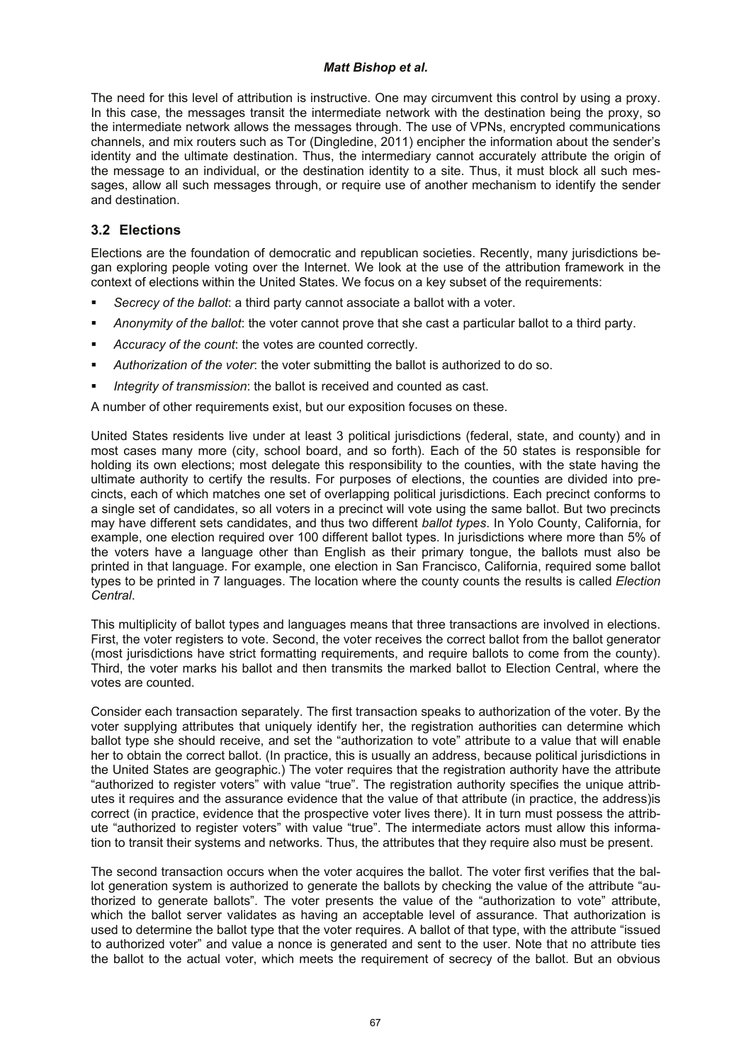The need for this level of attribution is instructive. One may circumvent this control by using a proxy. In this case, the messages transit the intermediate network with the destination being the proxy, so the intermediate network allows the messages through. The use of VPNs, encrypted communications channels, and mix routers such as Tor (Dingledine, 2011) encipher the information about the sender's identity and the ultimate destination. Thus, the intermediary cannot accurately attribute the origin of the message to an individual, or the destination identity to a site. Thus, it must block all such messages, allow all such messages through, or require use of another mechanism to identify the sender and destination.

# **3.2 Elections**

Elections are the foundation of democratic and republican societies. Recently, many jurisdictions began exploring people voting over the Internet. We look at the use of the attribution framework in the context of elections within the United States. We focus on a key subset of the requirements:

- *Secrecy of the ballot*: a third party cannot associate a ballot with a voter.
- *Anonymity of the ballot*: the voter cannot prove that she cast a particular ballot to a third party.
- *Accuracy of the count*: the votes are counted correctly.
- *Authorization of the voter*: the voter submitting the ballot is authorized to do so.
- *Integrity of transmission*: the ballot is received and counted as cast.

A number of other requirements exist, but our exposition focuses on these.

United States residents live under at least 3 political jurisdictions (federal, state, and county) and in most cases many more (city, school board, and so forth). Each of the 50 states is responsible for holding its own elections; most delegate this responsibility to the counties, with the state having the ultimate authority to certify the results. For purposes of elections, the counties are divided into precincts, each of which matches one set of overlapping political jurisdictions. Each precinct conforms to a single set of candidates, so all voters in a precinct will vote using the same ballot. But two precincts may have different sets candidates, and thus two different *ballot types*. In Yolo County, California, for example, one election required over 100 different ballot types. In jurisdictions where more than 5% of the voters have a language other than English as their primary tongue, the ballots must also be printed in that language. For example, one election in San Francisco, California, required some ballot types to be printed in 7 languages. The location where the county counts the results is called *Election Central*.

This multiplicity of ballot types and languages means that three transactions are involved in elections. First, the voter registers to vote. Second, the voter receives the correct ballot from the ballot generator (most jurisdictions have strict formatting requirements, and require ballots to come from the county). Third, the voter marks his ballot and then transmits the marked ballot to Election Central, where the votes are counted.

Consider each transaction separately. The first transaction speaks to authorization of the voter. By the voter supplying attributes that uniquely identify her, the registration authorities can determine which ballot type she should receive, and set the "authorization to vote" attribute to a value that will enable her to obtain the correct ballot. (In practice, this is usually an address, because political jurisdictions in the United States are geographic.) The voter requires that the registration authority have the attribute "authorized to register voters" with value "true". The registration authority specifies the unique attributes it requires and the assurance evidence that the value of that attribute (in practice, the address)is correct (in practice, evidence that the prospective voter lives there). It in turn must possess the attribute "authorized to register voters" with value "true". The intermediate actors must allow this information to transit their systems and networks. Thus, the attributes that they require also must be present.

The second transaction occurs when the voter acquires the ballot. The voter first verifies that the ballot generation system is authorized to generate the ballots by checking the value of the attribute "authorized to generate ballots". The voter presents the value of the "authorization to vote" attribute, which the ballot server validates as having an acceptable level of assurance. That authorization is used to determine the ballot type that the voter requires. A ballot of that type, with the attribute "issued to authorized voter" and value a nonce is generated and sent to the user. Note that no attribute ties the ballot to the actual voter, which meets the requirement of secrecy of the ballot. But an obvious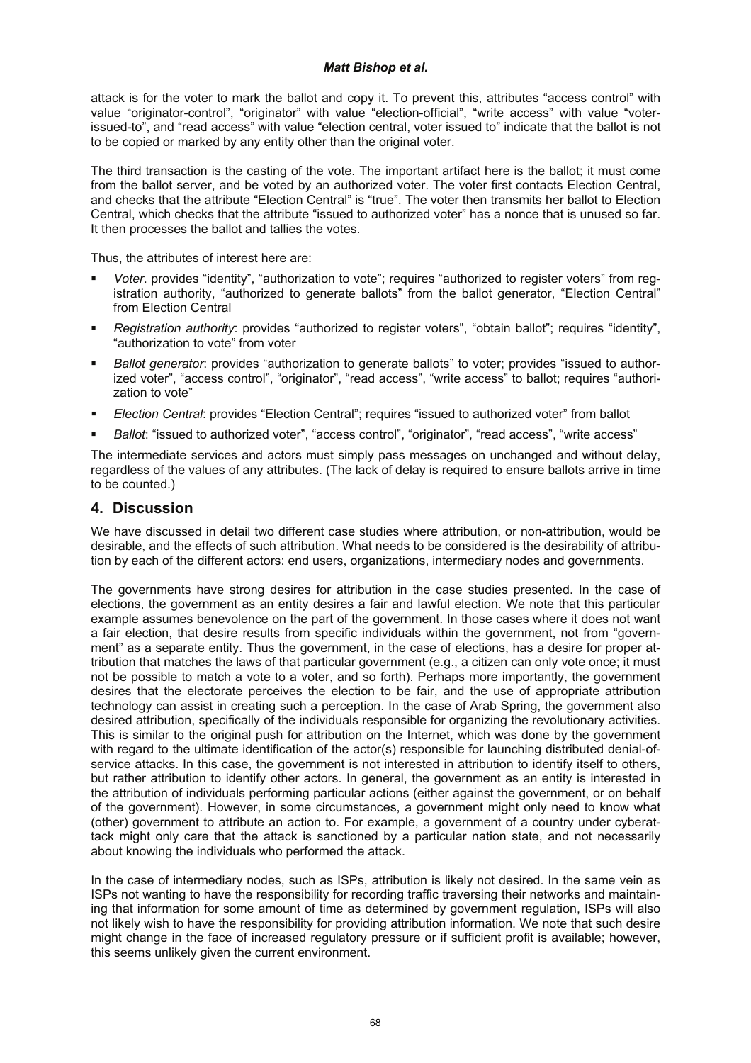attack is for the voter to mark the ballot and copy it. To prevent this, attributes "access control" with value "originator-control", "originator" with value "election-official", "write access" with value "voterissued-to", and "read access" with value "election central, voter issued to" indicate that the ballot is not to be copied or marked by any entity other than the original voter.

The third transaction is the casting of the vote. The important artifact here is the ballot; it must come from the ballot server, and be voted by an authorized voter. The voter first contacts Election Central, and checks that the attribute "Election Central" is "true". The voter then transmits her ballot to Election Central, which checks that the attribute "issued to authorized voter" has a nonce that is unused so far. It then processes the ballot and tallies the votes.

Thus, the attributes of interest here are:

- *Voter*. provides "identity", "authorization to vote"; requires "authorized to register voters" from registration authority, "authorized to generate ballots" from the ballot generator, "Election Central" from Election Central
- *Registration authority*: provides "authorized to register voters", "obtain ballot"; requires "identity", "authorization to vote" from voter
- *Ballot generator*: provides "authorization to generate ballots" to voter; provides "issued to authorized voter", "access control", "originator", "read access", "write access" to ballot; requires "authorization to vote"
- *Election Central*: provides "Election Central"; requires "issued to authorized voter" from ballot
- *Ballot*: "issued to authorized voter", "access control", "originator", "read access", "write access"

The intermediate services and actors must simply pass messages on unchanged and without delay, regardless of the values of any attributes. (The lack of delay is required to ensure ballots arrive in time to be counted.)

## **4. Discussion**

We have discussed in detail two different case studies where attribution, or non-attribution, would be desirable, and the effects of such attribution. What needs to be considered is the desirability of attribution by each of the different actors: end users, organizations, intermediary nodes and governments.

The governments have strong desires for attribution in the case studies presented. In the case of elections, the government as an entity desires a fair and lawful election. We note that this particular example assumes benevolence on the part of the government. In those cases where it does not want a fair election, that desire results from specific individuals within the government, not from "government" as a separate entity. Thus the government, in the case of elections, has a desire for proper attribution that matches the laws of that particular government (e.g., a citizen can only vote once; it must not be possible to match a vote to a voter, and so forth). Perhaps more importantly, the government desires that the electorate perceives the election to be fair, and the use of appropriate attribution technology can assist in creating such a perception. In the case of Arab Spring, the government also desired attribution, specifically of the individuals responsible for organizing the revolutionary activities. This is similar to the original push for attribution on the Internet, which was done by the government with regard to the ultimate identification of the actor(s) responsible for launching distributed denial-ofservice attacks. In this case, the government is not interested in attribution to identify itself to others, but rather attribution to identify other actors. In general, the government as an entity is interested in the attribution of individuals performing particular actions (either against the government, or on behalf of the government). However, in some circumstances, a government might only need to know what (other) government to attribute an action to. For example, a government of a country under cyberattack might only care that the attack is sanctioned by a particular nation state, and not necessarily about knowing the individuals who performed the attack.

In the case of intermediary nodes, such as ISPs, attribution is likely not desired. In the same vein as ISPs not wanting to have the responsibility for recording traffic traversing their networks and maintaining that information for some amount of time as determined by government regulation, ISPs will also not likely wish to have the responsibility for providing attribution information. We note that such desire might change in the face of increased regulatory pressure or if sufficient profit is available; however, this seems unlikely given the current environment.